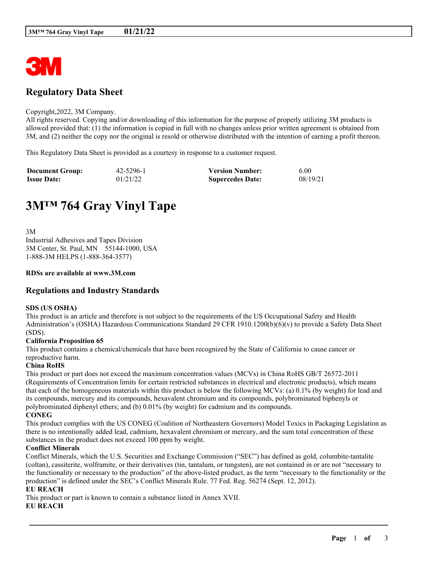

## **Regulatory Data Sheet**

#### Copyright,2022, 3M Company.

All rights reserved. Copying and/or downloading of this information for the purpose of properly utilizing 3M products is allowed provided that: (1) the information is copied in full with no changes unless prior written agreement is obtained from 3M, and (2) neither the copy nor the original is resold or otherwise distributed with the intention of earning a profit thereon.

This Regulatory Data Sheet is provided as a courtesy in response to a customer request.

| <b>Document Group:</b> | 42-5296-1 | <b>Version Number:</b>  | 6.00     |
|------------------------|-----------|-------------------------|----------|
| <b>Issue Date:</b>     | 01/21/22  | <b>Supercedes Date:</b> | 08/19/21 |

# **3M™ 764 Gray Vinyl Tape**

3M Industrial Adhesives and Tapes Division 3M Center, St. Paul, MN 55144-1000, USA 1-888-3M HELPS (1-888-364-3577)

#### **RDSs are available at www.3M.com**

## **Regulations and Industry Standards**

#### **SDS (US OSHA)**

This product is an article and therefore is not subject to the requirements of the US Occupational Safety and Health Administration's (OSHA) Hazardous Communications Standard 29 CFR 1910.1200(b)(6)(v) to provide a Safety Data Sheet (SDS).

#### **California Proposition 65**

This product contains a chemical/chemicals that have been recognized by the State of California to cause cancer or reproductive harm.

#### **China RoHS**

This product or part does not exceed the maximum concentration values (MCVs) in China RoHS GB/T 26572-2011 (Requirements of Concentration limits for certain restricted substances in electrical and electronic products), which means that each of the homogeneous materials within this product is below the following MCVs: (a) 0.1% (by weight) for lead and its compounds, mercury and its compounds, hexavalent chromium and its compounds, polybrominated biphenyls or polybrominated diphenyl ethers; and (b) 0.01% (by weight) for cadmium and its compounds. **CONEG**

This product complies with the US CONEG (Coalition of Northeastern Governors) Model Toxics in Packaging Legislation as there is no intentionally added lead, cadmium, hexavalent chromium or mercury, and the sum total concentration of these substances in the product does not exceed 100 ppm by weight.

## **Conflict Minerals**

Conflict Minerals, which the U.S. Securities and Exchange Commission ("SEC") has defined as gold, columbite-tantalite (coltan), cassiterite, wolframite, or their derivatives (tin, tantalum, or tungsten), are not contained in or are not "necessary to the functionality or necessary to the production" of the above-listed product, as the term "necessary to the functionality or the production" is defined under the SEC's Conflict Minerals Rule. 77 Fed. Reg. 56274 (Sept. 12, 2012).

\_\_\_\_\_\_\_\_\_\_\_\_\_\_\_\_\_\_\_\_\_\_\_\_\_\_\_\_\_\_\_\_\_\_\_\_\_\_\_\_\_\_\_\_\_\_\_\_\_\_\_\_\_\_\_\_\_\_\_\_\_\_\_\_\_\_\_\_\_\_\_\_\_\_\_\_\_\_\_\_\_\_\_\_\_\_\_\_\_\_

## **EU REACH**

This product or part is known to contain a substance listed in Annex XVII.

#### **EU REACH**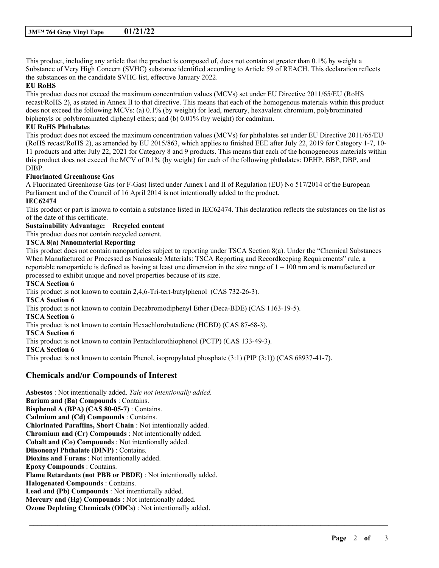This product, including any article that the product is composed of, does not contain at greater than 0.1% by weight a Substance of Very High Concern (SVHC) substance identified according to Article 59 of REACH. This declaration reflects the substances on the candidate SVHC list, effective January 2022.

## **EU RoHS**

This product does not exceed the maximum concentration values (MCVs) set under EU Directive 2011/65/EU (RoHS recast/RoHS 2), as stated in Annex II to that directive. This means that each of the homogenous materials within this product does not exceed the following MCVs: (a) 0.1% (by weight) for lead, mercury, hexavalent chromium, polybrominated biphenyls or polybrominated diphenyl ethers; and (b) 0.01% (by weight) for cadmium.

## **EU RoHS Phthalates**

This product does not exceed the maximum concentration values (MCVs) for phthalates set under EU Directive 2011/65/EU (RoHS recast/RoHS 2), as amended by EU 2015/863, which applies to finished EEE after July 22, 2019 for Category 1-7, 10- 11 products and after July 22, 2021 for Category 8 and 9 products. This means that each of the homogeneous materials within this product does not exceed the MCV of 0.1% (by weight) for each of the following phthalates: DEHP, BBP, DBP, and DIBP.

## **Fluorinated Greenhouse Gas**

A Fluorinated Greenhouse Gas (or F-Gas) listed under Annex I and II of Regulation (EU) No 517/2014 of the European Parliament and of the Council of 16 April 2014 is not intentionally added to the product.

## **IEC62474**

This product or part is known to contain a substance listed in IEC62474. This declaration reflects the substances on the list as of the date of this certificate.

## **Sustainability Advantage: Recycled content**

This product does not contain recycled content.

#### **TSCA 8(a) Nanomaterial Reporting**

This product does not contain nanoparticles subject to reporting under TSCA Section 8(a). Under the "Chemical Substances When Manufactured or Processed as Nanoscale Materials: TSCA Reporting and Recordkeeping Requirements" rule, a reportable nanoparticle is defined as having at least one dimension in the size range of  $1 - 100$  nm and is manufactured or processed to exhibit unique and novel properties because of its size.

\_\_\_\_\_\_\_\_\_\_\_\_\_\_\_\_\_\_\_\_\_\_\_\_\_\_\_\_\_\_\_\_\_\_\_\_\_\_\_\_\_\_\_\_\_\_\_\_\_\_\_\_\_\_\_\_\_\_\_\_\_\_\_\_\_\_\_\_\_\_\_\_\_\_\_\_\_\_\_\_\_\_\_\_\_\_\_\_\_\_

### **TSCA Section 6**

This product is not known to contain 2,4,6-Tri-tert-butylphenol (CAS 732-26-3). **TSCA Section 6** This product is not known to contain Decabromodiphenyl Ether (Deca-BDE) (CAS 1163-19-5). **TSCA Section 6** This product is not known to contain Hexachlorobutadiene (HCBD) (CAS 87-68-3). **TSCA Section 6** This product is not known to contain Pentachlorothiophenol (PCTP) (CAS 133-49-3). **TSCA Section 6** This product is not known to contain Phenol, isopropylated phosphate (3:1) (PIP (3:1)) (CAS 68937-41-7).

## **Chemicals and/or Compounds of Interest**

**Asbestos** : Not intentionally added. *Talc not intentionally added.* **Barium and (Ba) Compounds** : Contains. **Bisphenol A (BPA) (CAS 80-05-7)** : Contains. **Cadmium and (Cd) Compounds** : Contains. **Chlorinated Paraffins, Short Chain** : Not intentionally added. **Chromium and (Cr) Compounds** : Not intentionally added. **Cobalt and (Co) Compounds** : Not intentionally added. **Diisononyl Phthalate (DINP)** : Contains. **Dioxins and Furans** : Not intentionally added. **Epoxy Compounds** : Contains. **Flame Retardants (not PBB or PBDE)** : Not intentionally added. **Halogenated Compounds** : Contains. **Lead and (Pb) Compounds** : Not intentionally added. **Mercury and (Hg) Compounds** : Not intentionally added. **Ozone Depleting Chemicals (ODCs)** : Not intentionally added.